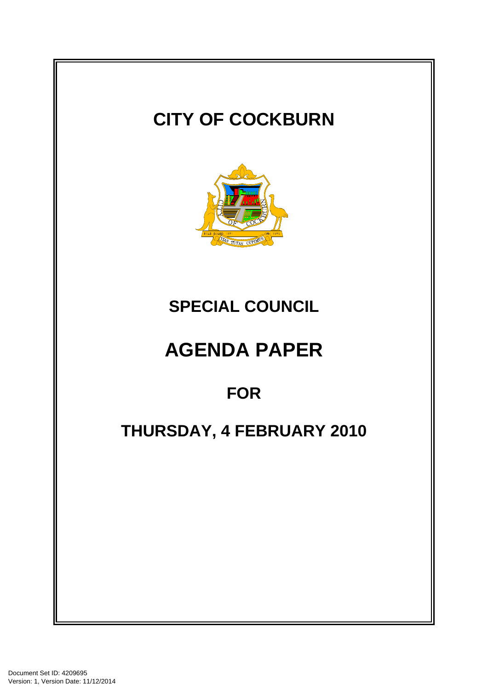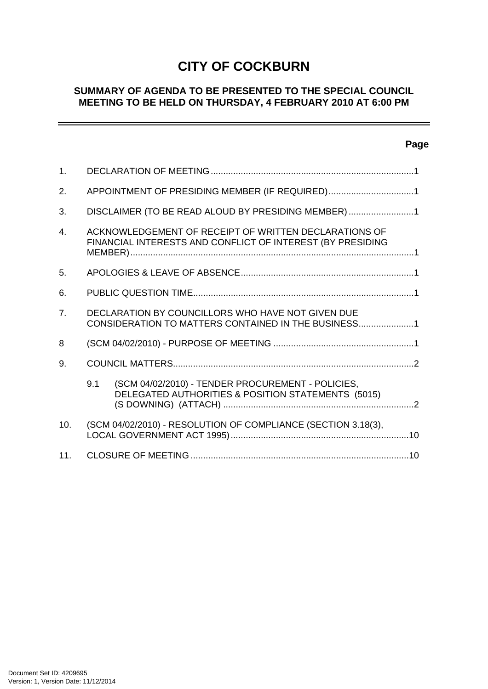# **CITY OF COCKBURN**

# **SUMMARY OF AGENDA TO BE PRESENTED TO THE SPECIAL COUNCIL MEETING TO BE HELD ON THURSDAY, 4 FEBRUARY 2010 AT 6:00 PM**

# **Page**

-

| 1.             |                                                                                                                     |                                                                                                         |  |
|----------------|---------------------------------------------------------------------------------------------------------------------|---------------------------------------------------------------------------------------------------------|--|
| 2.             | APPOINTMENT OF PRESIDING MEMBER (IF REQUIRED)1                                                                      |                                                                                                         |  |
| 3.             | DISCLAIMER (TO BE READ ALOUD BY PRESIDING MEMBER)1                                                                  |                                                                                                         |  |
| $\mathbf{4}$ . | ACKNOWLEDGEMENT OF RECEIPT OF WRITTEN DECLARATIONS OF<br>FINANCIAL INTERESTS AND CONFLICT OF INTEREST (BY PRESIDING |                                                                                                         |  |
| 5 <sub>1</sub> |                                                                                                                     |                                                                                                         |  |
| 6.             |                                                                                                                     |                                                                                                         |  |
| 7 <sub>1</sub> | DECLARATION BY COUNCILLORS WHO HAVE NOT GIVEN DUE<br>CONSIDERATION TO MATTERS CONTAINED IN THE BUSINESS1            |                                                                                                         |  |
| 8              |                                                                                                                     |                                                                                                         |  |
| 9.             |                                                                                                                     |                                                                                                         |  |
|                | 9.1                                                                                                                 | (SCM 04/02/2010) - TENDER PROCUREMENT - POLICIES,<br>DELEGATED AUTHORITIES & POSITION STATEMENTS (5015) |  |
| 10.            |                                                                                                                     | (SCM 04/02/2010) - RESOLUTION OF COMPLIANCE (SECTION 3.18(3),                                           |  |
| 11.            |                                                                                                                     |                                                                                                         |  |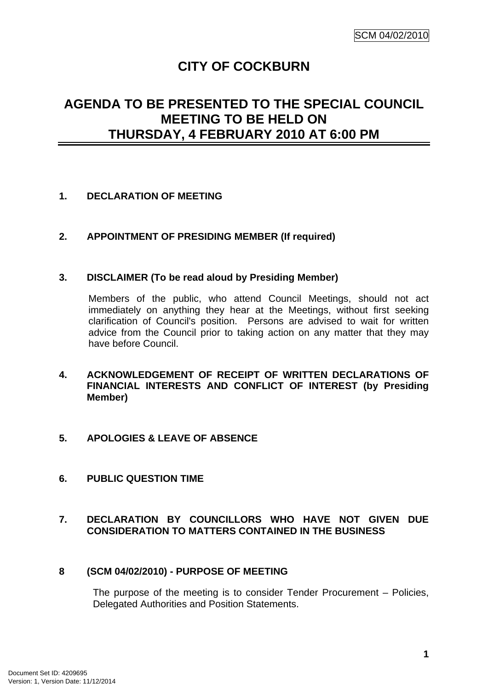# **CITY OF COCKBURN**

# <span id="page-2-0"></span>**AGENDA TO BE PRESENTED TO THE SPECIAL COUNCIL MEETING TO BE HELD ON THURSDAY, 4 FEBRUARY 2010 AT 6:00 PM**

# **1. DECLARATION OF MEETING**

# **2. APPOINTMENT OF PRESIDING MEMBER (If required)**

## **3. DISCLAIMER (To be read aloud by Presiding Member)**

Members of the public, who attend Council Meetings, should not act immediately on anything they hear at the Meetings, without first seeking clarification of Council's position. Persons are advised to wait for written advice from the Council prior to taking action on any matter that they may have before Council.

- **4. ACKNOWLEDGEMENT OF RECEIPT OF WRITTEN DECLARATIONS OF FINANCIAL INTERESTS AND CONFLICT OF INTEREST (by Presiding Member)**
- **5. APOLOGIES & LEAVE OF ABSENCE**
- **6. PUBLIC QUESTION TIME**

# **7. DECLARATION BY COUNCILLORS WHO HAVE NOT GIVEN DUE CONSIDERATION TO MATTERS CONTAINED IN THE BUSINESS**

## **8 (SCM 04/02/2010) - PURPOSE OF MEETING**

The purpose of the meeting is to consider Tender Procurement – Policies, Delegated Authorities and Position Statements.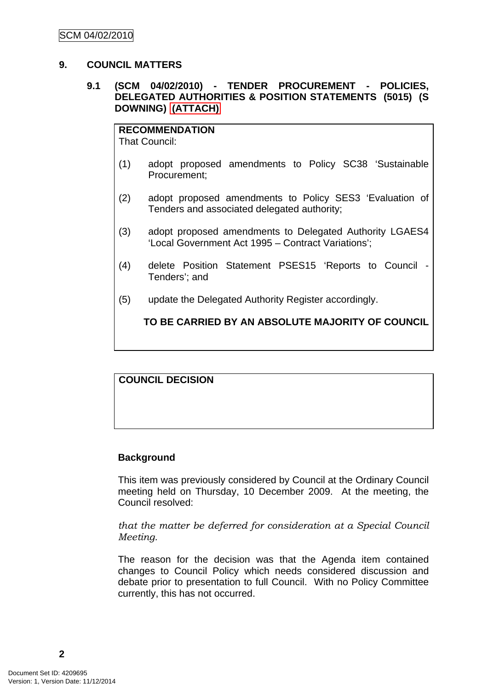## <span id="page-3-0"></span>**9. COUNCIL MATTERS**

## **9.1 (SCM 04/02/2010) - TENDER PROCUREMENT - POLICIES, DELEGATED AUTHORITIES & POSITION STATEMENTS (5015) (S DOWNING) (ATTACH)**

**RECOMMENDATION** That Council:

- (1) adopt proposed amendments to Policy SC38 'Sustainable Procurement;
- (2) adopt proposed amendments to Policy SES3 'Evaluation of Tenders and associated delegated authority;
- (3) adopt proposed amendments to Delegated Authority LGAES4 'Local Government Act 1995 – Contract Variations';
- (4) delete Position Statement PSES15 'Reports to Council Tenders'; and
- (5) update the Delegated Authority Register accordingly.

**TO BE CARRIED BY AN ABSOLUTE MAJORITY OF COUNCIL**

## **COUNCIL DECISION**

## **Background**

This item was previously considered by Council at the Ordinary Council meeting held on Thursday, 10 December 2009. At the meeting, the Council resolved:

*that the matter be deferred for consideration at a Special Council Meeting.* 

The reason for the decision was that the Agenda item contained changes to Council Policy which needs considered discussion and debate prior to presentation to full Council. With no Policy Committee currently, this has not occurred.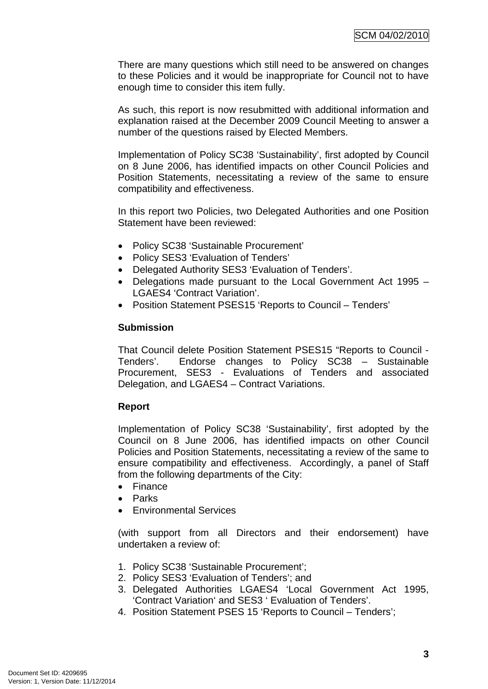There are many questions which still need to be answered on changes to these Policies and it would be inappropriate for Council not to have enough time to consider this item fully.

As such, this report is now resubmitted with additional information and explanation raised at the December 2009 Council Meeting to answer a number of the questions raised by Elected Members.

Implementation of Policy SC38 'Sustainability', first adopted by Council on 8 June 2006, has identified impacts on other Council Policies and Position Statements, necessitating a review of the same to ensure compatibility and effectiveness.

In this report two Policies, two Delegated Authorities and one Position Statement have been reviewed:

- Policy SC38 'Sustainable Procurement'
- Policy SES3 'Evaluation of Tenders'
- Delegated Authority SES3 'Evaluation of Tenders'.
- Delegations made pursuant to the Local Government Act 1995 LGAES4 'Contract Variation'.
- Position Statement PSES15 'Reports to Council Tenders'

#### **Submission**

That Council delete Position Statement PSES15 "Reports to Council - Tenders'. Endorse changes to Policy SC38 – Sustainable Procurement, SES3 - Evaluations of Tenders and associated Delegation, and LGAES4 – Contract Variations.

## **Report**

Implementation of Policy SC38 'Sustainability', first adopted by the Council on 8 June 2006, has identified impacts on other Council Policies and Position Statements, necessitating a review of the same to ensure compatibility and effectiveness. Accordingly, a panel of Staff from the following departments of the City:

- Finance
- Parks
- Environmental Services

(with support from all Directors and their endorsement) have undertaken a review of:

- 1. Policy SC38 'Sustainable Procurement';
- 2. Policy SES3 'Evaluation of Tenders'; and
- 3. Delegated Authorities LGAES4 'Local Government Act 1995, 'Contract Variation' and SES3 ' Evaluation of Tenders'.
- 4. Position Statement PSES 15 'Reports to Council Tenders';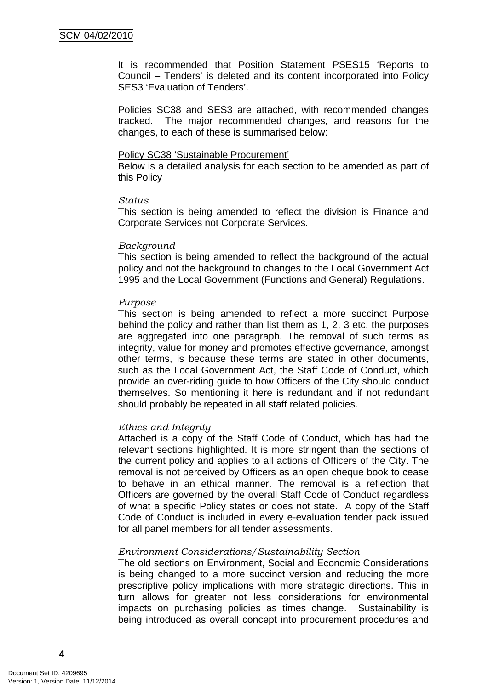It is recommended that Position Statement PSES15 'Reports to Council – Tenders' is deleted and its content incorporated into Policy SES3 'Evaluation of Tenders'.

Policies SC38 and SES3 are attached, with recommended changes tracked. The major recommended changes, and reasons for the changes, to each of these is summarised below:

#### Policy SC38 'Sustainable Procurement'

Below is a detailed analysis for each section to be amended as part of this Policy

#### *Status*

This section is being amended to reflect the division is Finance and Corporate Services not Corporate Services.

#### *Background*

This section is being amended to reflect the background of the actual policy and not the background to changes to the Local Government Act 1995 and the Local Government (Functions and General) Regulations.

#### *Purpose*

This section is being amended to reflect a more succinct Purpose behind the policy and rather than list them as 1, 2, 3 etc, the purposes are aggregated into one paragraph. The removal of such terms as integrity, value for money and promotes effective governance, amongst other terms, is because these terms are stated in other documents, such as the Local Government Act, the Staff Code of Conduct, which provide an over-riding guide to how Officers of the City should conduct themselves. So mentioning it here is redundant and if not redundant should probably be repeated in all staff related policies.

#### *Ethics and Integrity*

Attached is a copy of the Staff Code of Conduct, which has had the relevant sections highlighted. It is more stringent than the sections of the current policy and applies to all actions of Officers of the City. The removal is not perceived by Officers as an open cheque book to cease to behave in an ethical manner. The removal is a reflection that Officers are governed by the overall Staff Code of Conduct regardless of what a specific Policy states or does not state. A copy of the Staff Code of Conduct is included in every e-evaluation tender pack issued for all panel members for all tender assessments.

#### *Environment Considerations/Sustainability Section*

The old sections on Environment, Social and Economic Considerations is being changed to a more succinct version and reducing the more prescriptive policy implications with more strategic directions. This in turn allows for greater not less considerations for environmental impacts on purchasing policies as times change. Sustainability is being introduced as overall concept into procurement procedures and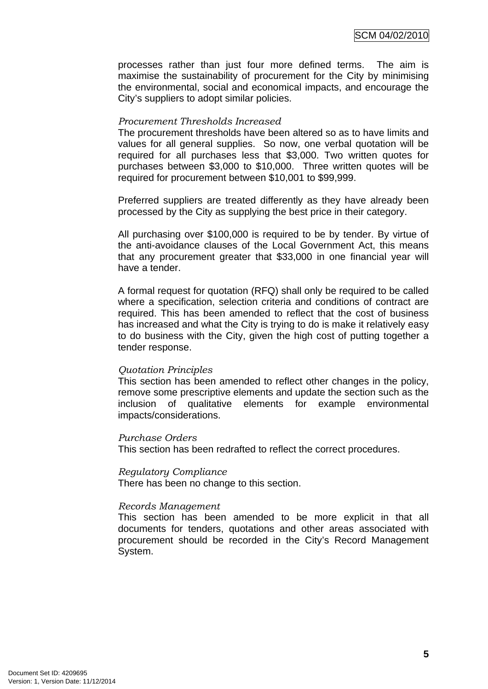processes rather than just four more defined terms. The aim is maximise the sustainability of procurement for the City by minimising the environmental, social and economical impacts, and encourage the City's suppliers to adopt similar policies.

## *Procurement Thresholds Increased*

The procurement thresholds have been altered so as to have limits and values for all general supplies. So now, one verbal quotation will be required for all purchases less that \$3,000. Two written quotes for purchases between \$3,000 to \$10,000. Three written quotes will be required for procurement between \$10,001 to \$99,999.

Preferred suppliers are treated differently as they have already been processed by the City as supplying the best price in their category.

All purchasing over \$100,000 is required to be by tender. By virtue of the anti-avoidance clauses of the Local Government Act, this means that any procurement greater that \$33,000 in one financial year will have a tender.

A formal request for quotation (RFQ) shall only be required to be called where a specification, selection criteria and conditions of contract are required. This has been amended to reflect that the cost of business has increased and what the City is trying to do is make it relatively easy to do business with the City, given the high cost of putting together a tender response.

#### *Quotation Principles*

This section has been amended to reflect other changes in the policy, remove some prescriptive elements and update the section such as the inclusion of qualitative elements for example environmental impacts/considerations.

#### *Purchase Orders*

This section has been redrafted to reflect the correct procedures.

#### *Regulatory Compliance*

There has been no change to this section.

## *Records Management*

This section has been amended to be more explicit in that all documents for tenders, quotations and other areas associated with procurement should be recorded in the City's Record Management System.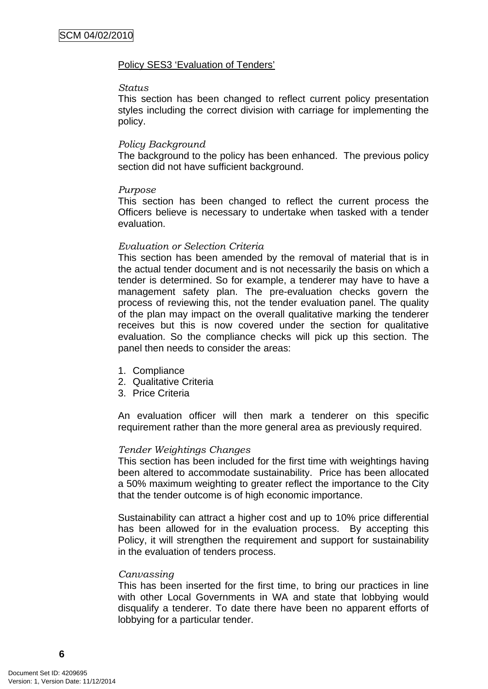#### Policy SES3 'Evaluation of Tenders'

#### *Status*

This section has been changed to reflect current policy presentation styles including the correct division with carriage for implementing the policy.

#### *Policy Background*

The background to the policy has been enhanced. The previous policy section did not have sufficient background.

#### *Purpose*

This section has been changed to reflect the current process the Officers believe is necessary to undertake when tasked with a tender evaluation.

#### *Evaluation or Selection Criteria*

This section has been amended by the removal of material that is in the actual tender document and is not necessarily the basis on which a tender is determined. So for example, a tenderer may have to have a management safety plan. The pre-evaluation checks govern the process of reviewing this, not the tender evaluation panel. The quality of the plan may impact on the overall qualitative marking the tenderer receives but this is now covered under the section for qualitative evaluation. So the compliance checks will pick up this section. The panel then needs to consider the areas:

- 1. Compliance
- 2. Qualitative Criteria
- 3. Price Criteria

An evaluation officer will then mark a tenderer on this specific requirement rather than the more general area as previously required.

#### *Tender Weightings Changes*

This section has been included for the first time with weightings having been altered to accommodate sustainability. Price has been allocated a 50% maximum weighting to greater reflect the importance to the City that the tender outcome is of high economic importance.

Sustainability can attract a higher cost and up to 10% price differential has been allowed for in the evaluation process. By accepting this Policy, it will strengthen the requirement and support for sustainability in the evaluation of tenders process.

#### *Canvassing*

This has been inserted for the first time, to bring our practices in line with other Local Governments in WA and state that lobbying would disqualify a tenderer. To date there have been no apparent efforts of lobbying for a particular tender.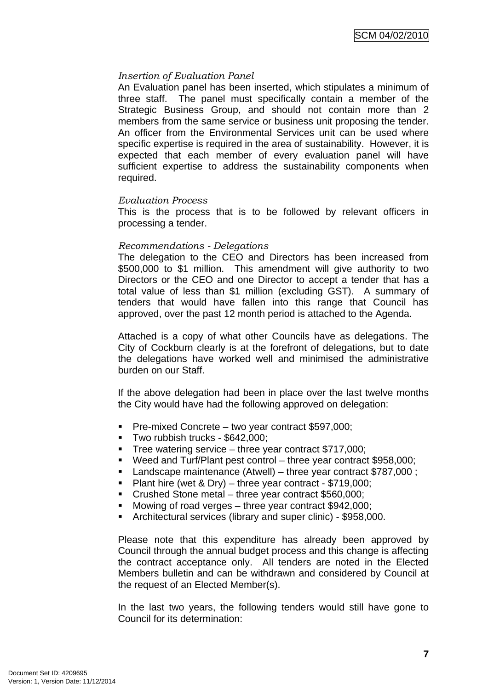## *Insertion of Evaluation Panel*

An Evaluation panel has been inserted, which stipulates a minimum of three staff. The panel must specifically contain a member of the Strategic Business Group, and should not contain more than 2 members from the same service or business unit proposing the tender. An officer from the Environmental Services unit can be used where specific expertise is required in the area of sustainability. However, it is expected that each member of every evaluation panel will have sufficient expertise to address the sustainability components when required.

#### *Evaluation Process*

This is the process that is to be followed by relevant officers in processing a tender.

## *Recommendations - Delegations*

The delegation to the CEO and Directors has been increased from \$500,000 to \$1 million. This amendment will give authority to two Directors or the CEO and one Director to accept a tender that has a total value of less than \$1 million (excluding GST). A summary of tenders that would have fallen into this range that Council has approved, over the past 12 month period is attached to the Agenda.

Attached is a copy of what other Councils have as delegations. The City of Cockburn clearly is at the forefront of delegations, but to date the delegations have worked well and minimised the administrative burden on our Staff.

If the above delegation had been in place over the last twelve months the City would have had the following approved on delegation:

- **Pre-mixed Concrete two year contract \$597,000;**
- Two rubbish trucks \$642,000:
- Tree watering service three year contract \$717,000;
- Weed and Turf/Plant pest control three year contract \$958,000;
- Landscape maintenance (Atwell) three year contract \$787,000 ;
- Plant hire (wet & Dry) three year contract \$719,000;
- Crushed Stone metal three year contract \$560,000;
- Mowing of road verges three year contract \$942,000;
- Architectural services (library and super clinic) \$958,000.

Please note that this expenditure has already been approved by Council through the annual budget process and this change is affecting the contract acceptance only. All tenders are noted in the Elected Members bulletin and can be withdrawn and considered by Council at the request of an Elected Member(s).

In the last two years, the following tenders would still have gone to Council for its determination: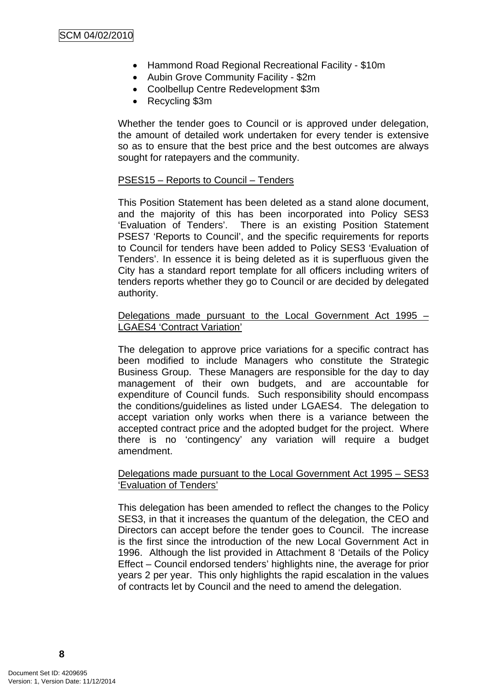- Hammond Road Regional Recreational Facility \$10m
- Aubin Grove Community Facility \$2m
- Coolbellup Centre Redevelopment \$3m
- Recycling \$3m

Whether the tender goes to Council or is approved under delegation, the amount of detailed work undertaken for every tender is extensive so as to ensure that the best price and the best outcomes are always sought for ratepayers and the community.

#### PSES15 – Reports to Council – Tenders

This Position Statement has been deleted as a stand alone document, and the majority of this has been incorporated into Policy SES3 'Evaluation of Tenders'. There is an existing Position Statement PSES7 'Reports to Council', and the specific requirements for reports to Council for tenders have been added to Policy SES3 'Evaluation of Tenders'. In essence it is being deleted as it is superfluous given the City has a standard report template for all officers including writers of tenders reports whether they go to Council or are decided by delegated authority.

## Delegations made pursuant to the Local Government Act 1995 – LGAES4 'Contract Variation'

The delegation to approve price variations for a specific contract has been modified to include Managers who constitute the Strategic Business Group. These Managers are responsible for the day to day management of their own budgets, and are accountable for expenditure of Council funds. Such responsibility should encompass the conditions/guidelines as listed under LGAES4. The delegation to accept variation only works when there is a variance between the accepted contract price and the adopted budget for the project. Where there is no 'contingency' any variation will require a budget amendment.

#### Delegations made pursuant to the Local Government Act 1995 - SES3 'Evaluation of Tenders'

This delegation has been amended to reflect the changes to the Policy SES3, in that it increases the quantum of the delegation, the CEO and Directors can accept before the tender goes to Council. The increase is the first since the introduction of the new Local Government Act in 1996. Although the list provided in Attachment 8 'Details of the Policy Effect – Council endorsed tenders' highlights nine, the average for prior years 2 per year. This only highlights the rapid escalation in the values of contracts let by Council and the need to amend the delegation.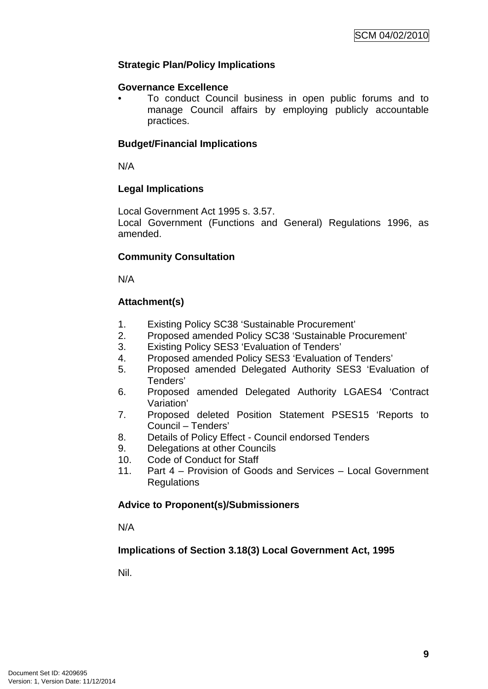# **Strategic Plan/Policy Implications**

## **Governance Excellence**

• To conduct Council business in open public forums and to manage Council affairs by employing publicly accountable practices.

# **Budget/Financial Implications**

N/A

# **Legal Implications**

Local Government Act 1995 s. 3.57.

Local Government (Functions and General) Regulations 1996, as amended.

# **Community Consultation**

N/A

# **Attachment(s)**

- 1. Existing Policy SC38 'Sustainable Procurement'
- 2. Proposed amended Policy SC38 'Sustainable Procurement'
- 3. Existing Policy SES3 'Evaluation of Tenders'
- 4. Proposed amended Policy SES3 'Evaluation of Tenders'
- 5. Proposed amended Delegated Authority SES3 'Evaluation of Tenders'
- 6. Proposed amended Delegated Authority LGAES4 'Contract Variation'
- 7. Proposed deleted Position Statement PSES15 'Reports to Council – Tenders'
- 8. Details of Policy Effect Council endorsed Tenders
- 9. Delegations at other Councils
- 10. Code of Conduct for Staff
- 11. Part 4 Provision of Goods and Services Local Government **Regulations**

# **Advice to Proponent(s)/Submissioners**

N/A

# **Implications of Section 3.18(3) Local Government Act, 1995**

Nil.